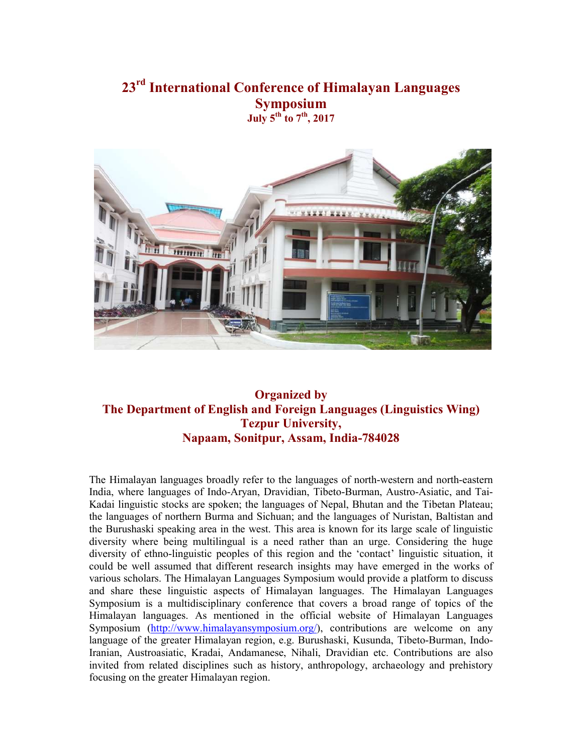# **23rd International Conference of Himalayan Languages Symposium July 5th to 7th, 2017**



## **Organized by The Department of English and Foreign Languages (Linguistics Wing) Tezpur University, Napaam, Sonitpur, Assam, India-784028**

The Himalayan languages broadly refer to the languages of north-western and north-eastern India, where languages of Indo-Aryan, Dravidian, Tibeto-Burman, Austro-Asiatic, and Tai-Kadai linguistic stocks are spoken; the languages of Nepal, Bhutan and the Tibetan Plateau; the languages of northern Burma and Sichuan; and the languages of Nuristan, Baltistan and the Burushaski speaking area in the west. This area is known for its large scale of linguistic diversity where being multilingual is a need rather than an urge. Considering the huge diversity of ethno-linguistic peoples of this region and the 'contact' linguistic situation, it could be well assumed that different research insights may have emerged in the works of various scholars. The Himalayan Languages Symposium would provide a platform to discuss and share these linguistic aspects of Himalayan languages. The Himalayan Languages Symposium is a multidisciplinary conference that covers a broad range of topics of the Himalayan languages. As mentioned in the official website of Himalayan Languages Symposium (http://www.himalayansymposium.org/), contributions are welcome on any language of the greater Himalayan region, e.g. Burushaski, Kusunda, Tibeto-Burman, Indo-Iranian, Austroasiatic, Kradai, Andamanese, Nihali, Dravidian etc. Contributions are also invited from related disciplines such as history, anthropology, archaeology and prehistory focusing on the greater Himalayan region.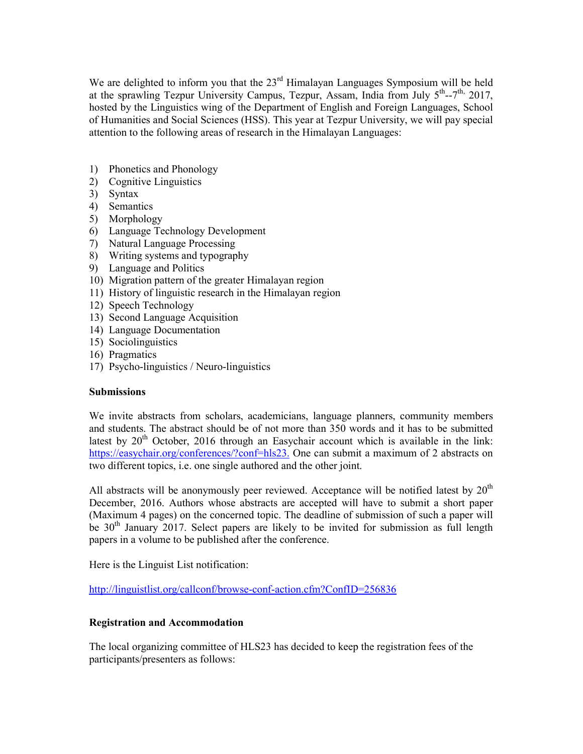We are delighted to inform you that the  $23<sup>rd</sup>$  Himalayan Languages Symposium will be held at the sprawling Tezpur University Campus, Tezpur, Assam, India from July  $5<sup>th</sup>$ --7<sup>th,</sup> 2017, hosted by the Linguistics wing of the Department of English and Foreign Languages, School of Humanities and Social Sciences (HSS). This year at Tezpur University, we will pay special attention to the following areas of research in the Himalayan Languages:

- 1) Phonetics and Phonology
- 2) Cognitive Linguistics
- 3) Syntax
- 4) Semantics
- 5) Morphology
- 6) Language Technology Development
- 7) Natural Language Processing
- 8) Writing systems and typography
- 9) Language and Politics
- 10) Migration pattern of the greater Himalayan region
- 11) History of linguistic research in the Himalayan region
- 12) Speech Technology
- 13) Second Language Acquisition
- 14) Language Documentation
- 15) Sociolinguistics
- 16) Pragmatics
- 17) Psycho-linguistics / Neuro-linguistics

#### **Submissions**

We invite abstracts from scholars, academicians, language planners, community members and students. The abstract should be of not more than 350 words and it has to be submitted latest by  $20<sup>th</sup>$  October, 2016 through an Easychair account which is available in the link: https://easychair.org/conferences/?conf=hls23. One can submit a maximum of 2 abstracts on two different topics, i.e. one single authored and the other joint.

All abstracts will be anonymously peer reviewed. Acceptance will be notified latest by  $20<sup>th</sup>$ December, 2016. Authors whose abstracts are accepted will have to submit a short paper (Maximum 4 pages) on the concerned topic. The deadline of submission of such a paper will be  $30<sup>th</sup>$  January 2017. Select papers are likely to be invited for submission as full length papers in a volume to be published after the conference.

Here is the Linguist List notification:

http://linguistlist.org/callconf/browse-conf-action.cfm?ConfID=256836

#### **Registration and Accommodation**

The local organizing committee of HLS23 has decided to keep the registration fees of the participants/presenters as follows: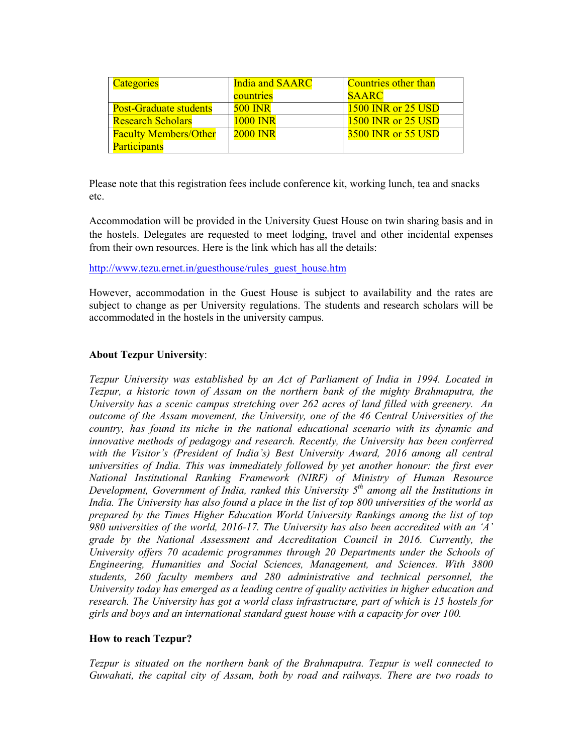| Categories                    | <b>India and SAARC</b> | <b>Countries other than</b> |
|-------------------------------|------------------------|-----------------------------|
|                               | countries              | <b>SAARC</b>                |
| <b>Post-Graduate students</b> | <b>500 INR</b>         | <b>1500 INR or 25 USD</b>   |
| <b>Research Scholars</b>      | <b>1000 INR</b>        | <b>1500 INR or 25 USD</b>   |
| <b>Faculty Members/Other</b>  | <b>2000 INR</b>        | <b>3500 INR or 55 USD</b>   |
| <b>Participants</b>           |                        |                             |

Please note that this registration fees include conference kit, working lunch, tea and snacks etc.

Accommodation will be provided in the University Guest House on twin sharing basis and in the hostels. Delegates are requested to meet lodging, travel and other incidental expenses from their own resources. Here is the link which has all the details:

http://www.tezu.ernet.in/guesthouse/rules\_guest\_house.htm

However, accommodation in the Guest House is subject to availability and the rates are subject to change as per University regulations. The students and research scholars will be accommodated in the hostels in the university campus.

#### **About Tezpur University**:

*Tezpur University was established by an Act of Parliament of India in 1994. Located in Tezpur, a historic town of Assam on the northern bank of the mighty Brahmaputra, the University has a scenic campus stretching over 262 acres of land filled with greenery. An outcome of the Assam movement, the University, one of the 46 Central Universities of the country, has found its niche in the national educational scenario with its dynamic and innovative methods of pedagogy and research. Recently, the University has been conferred with the Visitor's (President of India's) Best University Award, 2016 among all central universities of India. This was immediately followed by yet another honour: the first ever National Institutional Ranking Framework (NIRF) of Ministry of Human Resource Development, Government of India, ranked this University 5th among all the Institutions in India. The University has also found a place in the list of top 800 universities of the world as prepared by the Times Higher Education World University Rankings among the list of top 980 universities of the world, 2016-17. The University has also been accredited with an 'A' grade by the National Assessment and Accreditation Council in 2016. Currently, the University offers 70 academic programmes through 20 Departments under the Schools of Engineering, Humanities and Social Sciences, Management, and Sciences. With 3800 students, 260 faculty members and 280 administrative and technical personnel, the University today has emerged as a leading centre of quality activities in higher education and research. The University has got a world class infrastructure, part of which is 15 hostels for girls and boys and an international standard guest house with a capacity for over 100.* 

#### **How to reach Tezpur?**

*Tezpur is situated on the northern bank of the Brahmaputra. Tezpur is well connected to Guwahati, the capital city of Assam, both by road and railways. There are two roads to*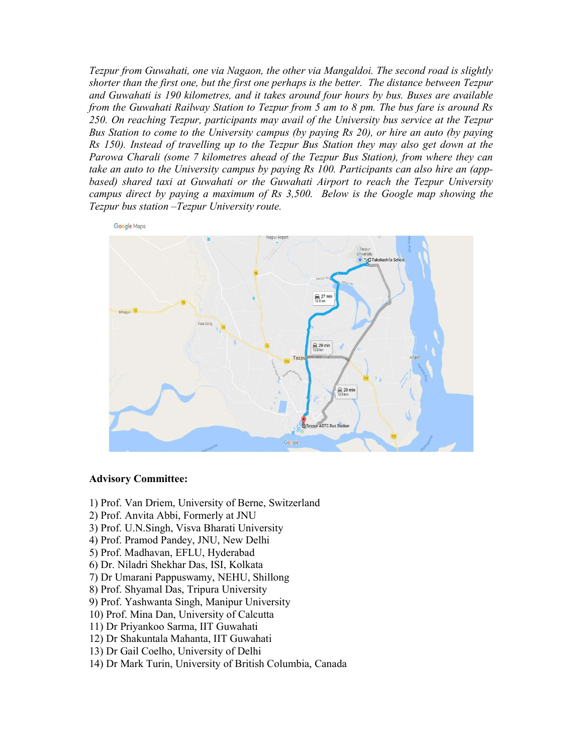*Tezpur from Guwahati, one via Nagaon, the other via Mangaldoi. The second road is slightly shorter than the first one, but the first one perhaps is the better. The distance between Tezpur and Guwahati is 190 kilometres, and it takes around four hours by bus. Buses are available from the Guwahati Railway Station to Tezpur from 5 am to 8 pm. The bus fare is around Rs 250. On reaching Tezpur, participants may avail of the University bus service at the Tezpur Bus Station to come to the University campus (by paying Rs 20), or hire an auto (by paying Rs 150). Instead of travelling up to the Tezpur Bus Station they may also get down at the Parowa Charali (some 7 kilometres ahead of the Tezpur Bus Station), from where they can take an auto to the University campus by paying Rs 100. Participants can also hire an (appbased) shared taxi at Guwahati or the Guwahati Airport to reach the Tezpur University campus direct by paying a maximum of Rs 3,500. Below is the Google map showing the Tezpur bus station –Tezpur University route.*



#### **Advisory Committee:**

- 1) Prof. Van Driem, University of Berne, Switzerland
- 2) Prof. Anvita Abbi, Formerly at JNU
- 3) Prof. U.N.Singh, Visva Bharati University
- 4) Prof. Pramod Pandey, JNU, New Delhi
- 5) Prof. Madhavan, EFLU, Hyderabad
- 6) Dr. Niladri Shekhar Das, ISI, Kolkata
- 7) Dr Umarani Pappuswamy, NEHU, Shillong
- 8) Prof. Shyamal Das, Tripura University
- 9) Prof. Yashwanta Singh, Manipur University
- 10) Prof. Mina Dan, University of Calcutta
- 11) Dr Priyankoo Sarma, IIT Guwahati
- 12) Dr Shakuntala Mahanta, IIT Guwahati
- 13) Dr Gail Coelho, University of Delhi
- 14) Dr Mark Turin, University of British Columbia, Canada